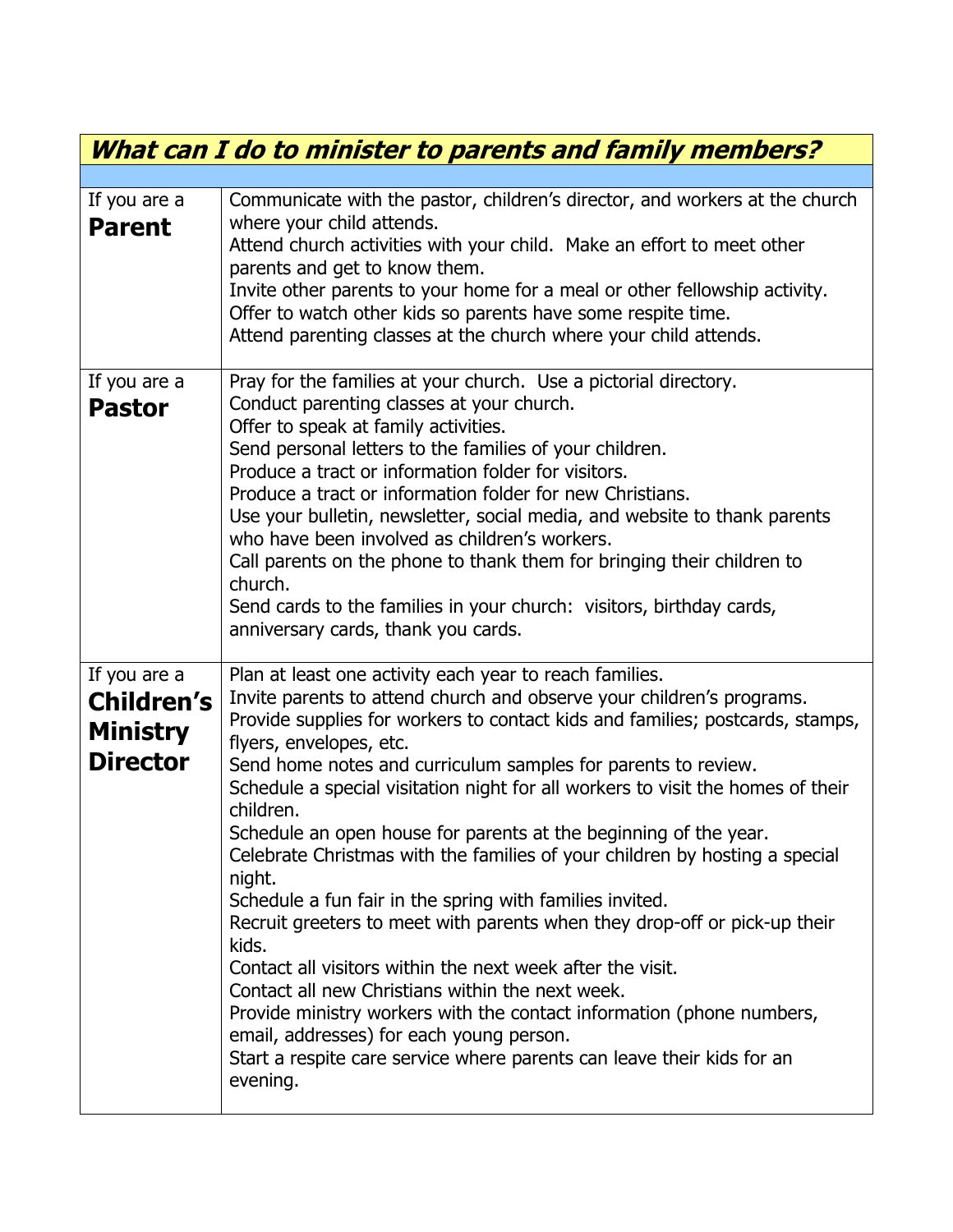| What can I do to minister to parents and family members?                |                                                                                                                                                                                                                                                                                                                                                                                                                                                                                                                                                                                                                                                                                                                                                                                                                                                                                                                                                                                                                                                           |  |
|-------------------------------------------------------------------------|-----------------------------------------------------------------------------------------------------------------------------------------------------------------------------------------------------------------------------------------------------------------------------------------------------------------------------------------------------------------------------------------------------------------------------------------------------------------------------------------------------------------------------------------------------------------------------------------------------------------------------------------------------------------------------------------------------------------------------------------------------------------------------------------------------------------------------------------------------------------------------------------------------------------------------------------------------------------------------------------------------------------------------------------------------------|--|
|                                                                         |                                                                                                                                                                                                                                                                                                                                                                                                                                                                                                                                                                                                                                                                                                                                                                                                                                                                                                                                                                                                                                                           |  |
| If you are a<br><b>Parent</b>                                           | Communicate with the pastor, children's director, and workers at the church<br>where your child attends.<br>Attend church activities with your child. Make an effort to meet other<br>parents and get to know them.<br>Invite other parents to your home for a meal or other fellowship activity.<br>Offer to watch other kids so parents have some respite time.<br>Attend parenting classes at the church where your child attends.                                                                                                                                                                                                                                                                                                                                                                                                                                                                                                                                                                                                                     |  |
| If you are a<br><b>Pastor</b>                                           | Pray for the families at your church. Use a pictorial directory.<br>Conduct parenting classes at your church.<br>Offer to speak at family activities.<br>Send personal letters to the families of your children.<br>Produce a tract or information folder for visitors.<br>Produce a tract or information folder for new Christians.<br>Use your bulletin, newsletter, social media, and website to thank parents<br>who have been involved as children's workers.<br>Call parents on the phone to thank them for bringing their children to<br>church.<br>Send cards to the families in your church: visitors, birthday cards,<br>anniversary cards, thank you cards.                                                                                                                                                                                                                                                                                                                                                                                    |  |
| If you are a<br><b>Children's</b><br><b>Ministry</b><br><b>Director</b> | Plan at least one activity each year to reach families.<br>Invite parents to attend church and observe your children's programs.<br>Provide supplies for workers to contact kids and families; postcards, stamps,<br>flyers, envelopes, etc.<br>Send home notes and curriculum samples for parents to review.<br>Schedule a special visitation night for all workers to visit the homes of their<br>children.<br>Schedule an open house for parents at the beginning of the year.<br>Celebrate Christmas with the families of your children by hosting a special<br>night.<br>Schedule a fun fair in the spring with families invited.<br>Recruit greeters to meet with parents when they drop-off or pick-up their<br>kids.<br>Contact all visitors within the next week after the visit.<br>Contact all new Christians within the next week.<br>Provide ministry workers with the contact information (phone numbers,<br>email, addresses) for each young person.<br>Start a respite care service where parents can leave their kids for an<br>evening. |  |